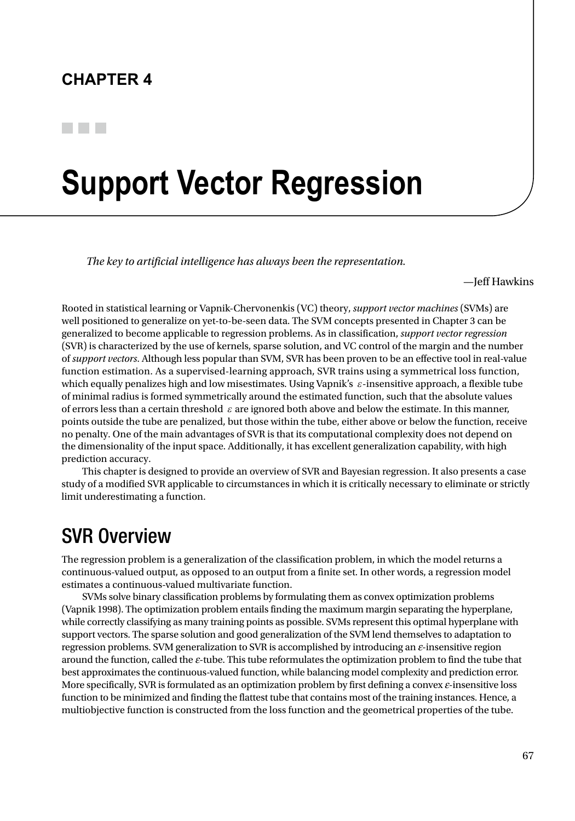#### **Chapter 4**

#### **The Common**

# **Support Vector Regression**

*The key to artificial intelligence has always been the representation.*

—Jeff Hawkins

Rooted in statistical learning or Vapnik-Chervonenkis (VC) theory, *support vector machines* (SVMs) are well positioned to generalize on yet-to-be-seen data. The SVM concepts presented in Chapter 3 can be generalized to become applicable to regression problems. As in classification, *support vector regression* (SVR) is characterized by the use of kernels, sparse solution, and VC control of the margin and the number of *support vectors*. Although less popular than SVM, SVR has been proven to be an effective tool in real-value function estimation. As a supervised-learning approach, SVR trains using a symmetrical loss function, which equally penalizes high and low misestimates. Using Vapnik's  $\varepsilon$ -insensitive approach, a flexible tube of minimal radius is formed symmetrically around the estimated function, such that the absolute values of errors less than a certain threshold  $\varepsilon$  are ignored both above and below the estimate. In this manner, points outside the tube are penalized, but those within the tube, either above or below the function, receive no penalty. One of the main advantages of SVR is that its computational complexity does not depend on the dimensionality of the input space. Additionally, it has excellent generalization capability, with high prediction accuracy.

This chapter is designed to provide an overview of SVR and Bayesian regression. It also presents a case study of a modified SVR applicable to circumstances in which it is critically necessary to eliminate or strictly limit underestimating a function.

## SVR Overview

The regression problem is a generalization of the classification problem, in which the model returns a continuous-valued output, as opposed to an output from a finite set. In other words, a regression model estimates a continuous-valued multivariate function.

SVMs solve binary classification problems by formulating them as convex optimization problems (Vapnik 1998). The optimization problem entails finding the maximum margin separating the hyperplane, while correctly classifying as many training points as possible. SVMs represent this optimal hyperplane with support vectors. The sparse solution and good generalization of the SVM lend themselves to adaptation to regression problems. SVM generalization to SVR is accomplished by introducing an *e*-insensitive region around the function, called the *e*-tube. This tube reformulates the optimization problem to find the tube that best approximates the continuous-valued function, while balancing model complexity and prediction error. More specifically, SVR is formulated as an optimization problem by first defining a convex *e*-insensitive loss function to be minimized and finding the flattest tube that contains most of the training instances. Hence, a multiobjective function is constructed from the loss function and the geometrical properties of the tube.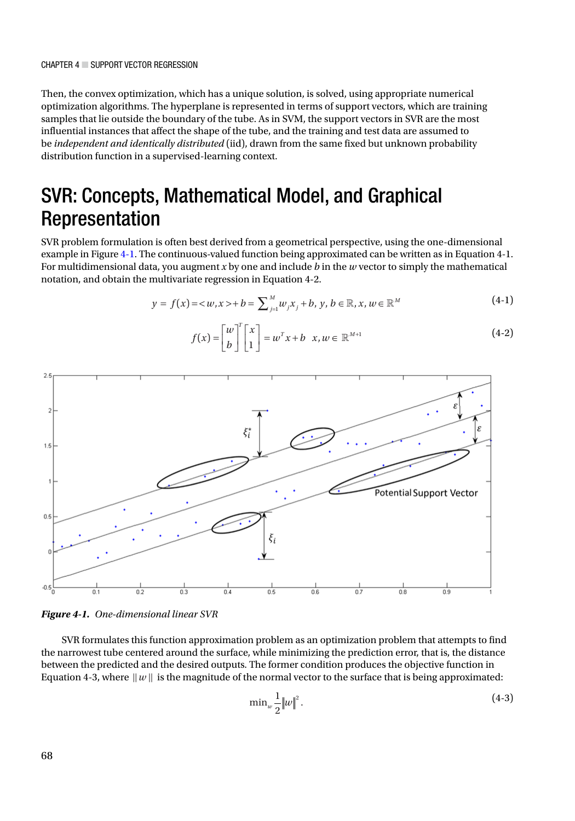Then, the convex optimization, which has a unique solution, is solved, using appropriate numerical optimization algorithms. The hyperplane is represented in terms of support vectors, which are training samples that lie outside the boundary of the tube. As in SVM, the support vectors in SVR are the most influential instances that affect the shape of the tube, and the training and test data are assumed to be *independent and identically distributed* (iid), drawn from the same fixed but unknown probability distribution function in a supervised-learning context.

## SVR: Concepts, Mathematical Model, and Graphical Representation

SVR problem formulation is often best derived from a geometrical perspective, using the one-dimensional example in Figure [4-1.](#page-1-0) The continuous-valued function being approximated can be written as in Equation 4-1. For multidimensional data, you augment *x* by one and include *b* in the *w* vector to simply the mathematical notation, and obtain the multivariate regression in Equation 4-2.

$$
y = f(x) = \langle w, x \rangle + b = \sum_{j=1}^{M} w_j x_j + b, y, b \in \mathbb{R}, x, w \in \mathbb{R}^M
$$
 (4-1)

$$
f(x) = \begin{bmatrix} w \\ b \end{bmatrix}^T \begin{bmatrix} x \\ 1 \end{bmatrix} = w^T x + b \quad x, w \in \mathbb{R}^{M+1}
$$
 (4-2)

<span id="page-1-0"></span>

*Figure 4-1. One-dimensional linear SVR*

SVR formulates this function approximation problem as an optimization problem that attempts to find the narrowest tube centered around the surface, while minimizing the prediction error, that is, the distance between the predicted and the desired outputs. The former condition produces the objective function in Equation 4-3, where  $||w||$  is the magnitude of the normal vector to the surface that is being approximated:

$$
\min_{w} \frac{1}{2} \|w\|^2. \tag{4-3}
$$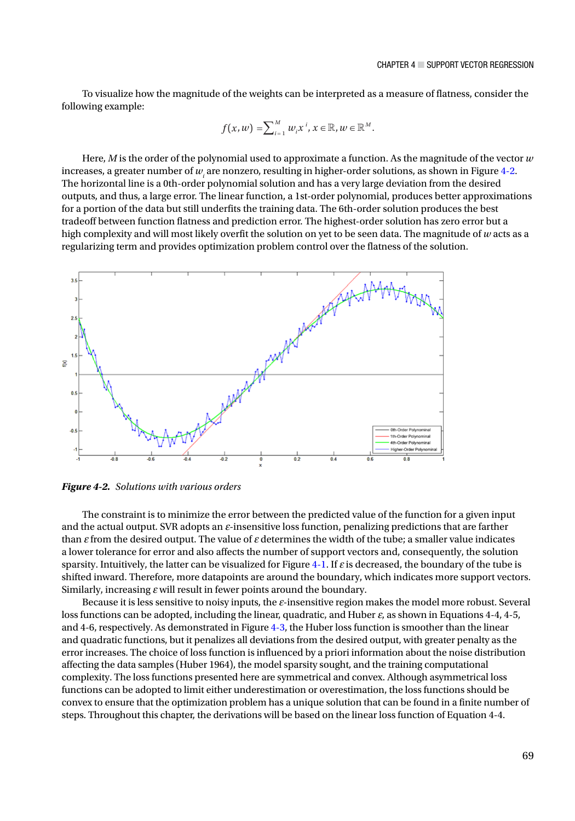To visualize how the magnitude of the weights can be interpreted as a measure of flatness, consider the following example:

$$
f(x,w)=\sum\nolimits_{i=1}^M w_ix^i, x\in\mathbb{R}, w\in\mathbb{R}^M.
$$

Here, *M* is the order of the polynomial used to approximate a function. As the magnitude of the vector *w* increases, a greater number of  $w_i$  are nonzero, resulting in higher-order solutions, as shown in Figure [4-2](#page-2-0). The horizontal line is a 0th-order polynomial solution and has a very large deviation from the desired outputs, and thus, a large error. The linear function, a 1st-order polynomial, produces better approximations for a portion of the data but still underfits the training data. The 6th-order solution produces the best tradeoff between function flatness and prediction error. The highest-order solution has zero error but a high complexity and will most likely overfit the solution on yet to be seen data. The magnitude of *w* acts as a regularizing term and provides optimization problem control over the flatness of the solution.

<span id="page-2-0"></span>



The constraint is to minimize the error between the predicted value of the function for a given input and the actual output. SVR adopts an *e*-insensitive loss function, penalizing predictions that are farther than *e* from the desired output. The value of *e* determines the width of the tube; a smaller value indicates a lower tolerance for error and also affects the number of support vectors and, consequently, the solution sparsity. Intuitively, the latter can be visualized for Figure  $4-1$ . If  $\varepsilon$  is decreased, the boundary of the tube is shifted inward. Therefore, more datapoints are around the boundary, which indicates more support vectors. Similarly, increasing  $\varepsilon$  will result in fewer points around the boundary.

Because it is less sensitive to noisy inputs, the *e*-insensitive region makes the model more robust. Several loss functions can be adopted, including the linear, quadratic, and Huber *e*, as shown in Equations 4-4, 4-5, and 4-6, respectively. As demonstrated in Figure [4-3,](#page-3-0) the Huber loss function is smoother than the linear and quadratic functions, but it penalizes all deviations from the desired output, with greater penalty as the error increases. The choice of loss function is influenced by a priori information about the noise distribution affecting the data samples (Huber 1964), the model sparsity sought, and the training computational complexity. The loss functions presented here are symmetrical and convex. Although asymmetrical loss functions can be adopted to limit either underestimation or overestimation, the loss functions should be convex to ensure that the optimization problem has a unique solution that can be found in a finite number of steps. Throughout this chapter, the derivations will be based on the linear loss function of Equation 4-4.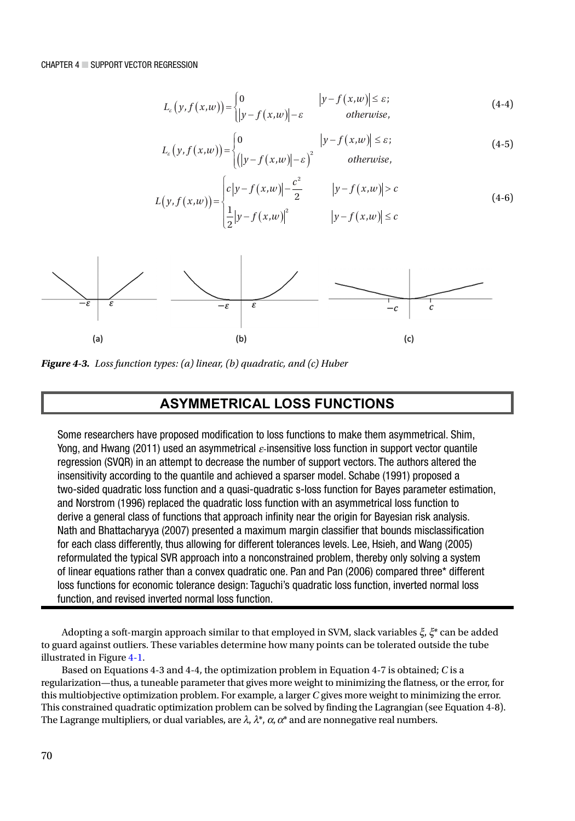$$
L_{\varepsilon}\big(y,f(x,w)\big) = \begin{cases} 0 & |y-f(x,w)| \leq \varepsilon; \\ |y-f(x,w)|-\varepsilon & otherwise, \end{cases}
$$
(4-4)

$$
L_{\varepsilon}\big(y,f(x,w)\big) = \begin{cases} 0 & |y-f(x,w)| \leq \varepsilon; \\ \big(|y-f(x,w)|-\varepsilon\big)^2 & otherwise, \end{cases}
$$
(4-5)

$$
L(y, f(x, w)) = \begin{cases} c|y - f(x, w)| - \frac{c^2}{2} & |y - f(x, w)| > c \\ \frac{1}{2}|y - f(x, w)|^2 & |y - f(x, w)| \le c \end{cases}
$$
(4-6)

<span id="page-3-0"></span>

*Figure 4-3. Loss function types: (a) linear, (b) quadratic, and (c) Huber*

#### **ASYMMETRICAL LOSS FUNCTIONS**

Some researchers have proposed modification to loss functions to make them asymmetrical. Shim, Yong, and Hwang (2011) used an asymmetrical *e*-insensitive loss function in support vector quantile regression (SVQR) in an attempt to decrease the number of support vectors. The authors altered the insensitivity according to the quantile and achieved a sparser model. Schabe (1991) proposed a two-sided quadratic loss function and a quasi-quadratic s-loss function for Bayes parameter estimation, and Norstrom (1996) replaced the quadratic loss function with an asymmetrical loss function to derive a general class of functions that approach infinity near the origin for Bayesian risk analysis. Nath and Bhattacharyya (2007) presented a maximum margin classifier that bounds misclassification for each class differently, thus allowing for different tolerances levels. Lee, Hsieh, and Wang (2005) reformulated the typical SVR approach into a nonconstrained problem, thereby only solving a system of linear equations rather than a convex quadratic one. Pan and Pan (2006) compared three\* different loss functions for economic tolerance design: Taguchi's quadratic loss function, inverted normal loss function, and revised inverted normal loss function.

Adopting a soft-margin approach similar to that employed in SVM, slack variables *x*, *x*\* can be added to guard against outliers. These variables determine how many points can be tolerated outside the tube illustrated in Figure [4-1.](#page-1-0)

Based on Equations 4-3 and 4-4, the optimization problem in Equation 4-7 is obtained; *C* is a regularization—thus, a tuneable parameter that gives more weight to minimizing the flatness, or the error, for this multiobjective optimization problem. For example, a larger *C* gives more weight to minimizing the error. This constrained quadratic optimization problem can be solved by finding the Lagrangian (see Equation 4-8). The Lagrange multipliers, or dual variables, are  $\lambda$ ,  $\lambda^*$ ,  $\alpha$ ,  $\alpha^*$  and are nonnegative real numbers.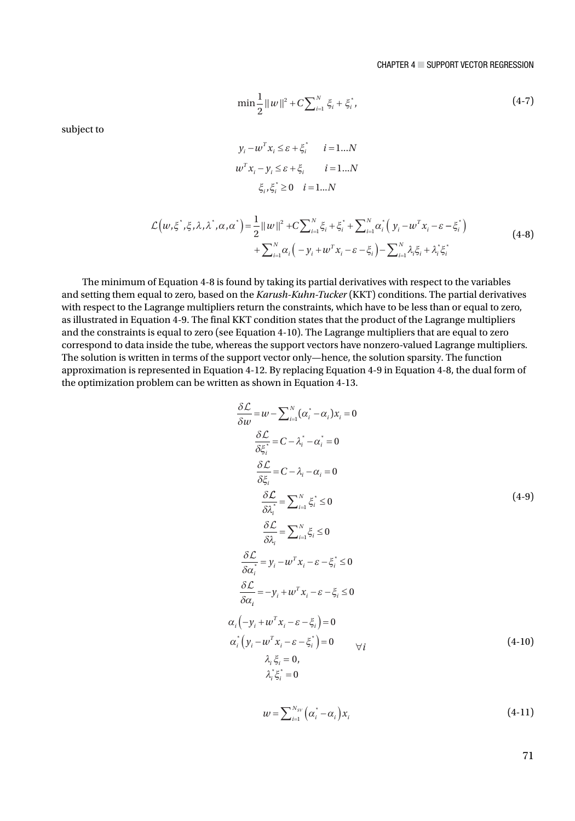$$
\min \frac{1}{2} \|w\|^2 + C \sum_{i=1}^N \xi_i + \xi_i^*,
$$
\n(4-7)

subject to

$$
y_i - w^T x_i \le \varepsilon + \xi_i^* \qquad i = 1...N
$$
  

$$
w^T x_i - y_i \le \varepsilon + \xi_i \qquad i = 1...N
$$
  

$$
\xi_i, \xi_i^* \ge 0 \qquad i = 1...N
$$

$$
\mathcal{L}(w,\xi^*,\xi,\lambda,\lambda^*,\alpha,\alpha^*) = \frac{1}{2} ||w||^2 + C \sum_{i=1}^N \xi_i + \xi_i^* + \sum_{i=1}^N \alpha_i^* (y_i - w^T x_i - \varepsilon - \xi_i^*) + \sum_{i=1}^N \alpha_i (y_i - w^T x_i - \varepsilon - \xi_i) - \sum_{i=1}^N \lambda_i \xi_i + \lambda_i^* \xi_i^* \tag{4-8}
$$

The minimum of Equation 4-8 is found by taking its partial derivatives with respect to the variables and setting them equal to zero, based on the *Karush-Kuhn-Tucker* (KKT) conditions. The partial derivatives with respect to the Lagrange multipliers return the constraints, which have to be less than or equal to zero, as illustrated in Equation 4-9. The final KKT condition states that the product of the Lagrange multipliers and the constraints is equal to zero (see Equation 4-10). The Lagrange multipliers that are equal to zero correspond to data inside the tube, whereas the support vectors have nonzero-valued Lagrange multipliers. The solution is written in terms of the support vector only—hence, the solution sparsity. The function approximation is represented in Equation 4-12. By replacing Equation 4-9 in Equation 4-8, the dual form of the optimization problem can be written as shown in Equation 4-13.

$$
\frac{\delta \mathcal{L}}{\delta w} = w - \sum_{i=1}^{N} (\alpha_i^{\dagger} - \alpha_i) x_i = 0
$$
\n
$$
\frac{\delta \mathcal{L}}{\delta \xi_i^*} = C - \lambda_i^* - \alpha_i = 0
$$
\n
$$
\frac{\delta \mathcal{L}}{\delta \lambda_i^*} = C - \lambda_i - \alpha_i = 0
$$
\n
$$
\frac{\delta \mathcal{L}}{\delta \lambda_i^*} = \sum_{i=1}^{N} \xi_i \le 0
$$
\n
$$
\frac{\delta \mathcal{L}}{\delta \lambda_i^*} = \sum_{i=1}^{N} \xi_i \le 0
$$
\n
$$
\frac{\delta \mathcal{L}}{\delta \alpha_i^*} = y_i - w^T x_i - \varepsilon - \xi_i^* \le 0
$$
\n
$$
\frac{\delta \mathcal{L}}{\delta \alpha_i} = -y_i + w^T x_i - \varepsilon - \xi_i \le 0
$$
\n
$$
\alpha_i \left( -y_i + w^T x_i - \varepsilon - \xi_i \right) = 0
$$
\n
$$
\alpha_i^* \left( y_i - w^T x_i - \varepsilon - \xi_i^* \right) = 0 \qquad \forall i
$$
\n
$$
\lambda_i^* \xi_i^* = 0
$$
\n(4-10)

$$
w = \sum_{i=1}^{N_{SV}} \left( \alpha_i^* - \alpha_i \right) x_i \tag{4-11}
$$

71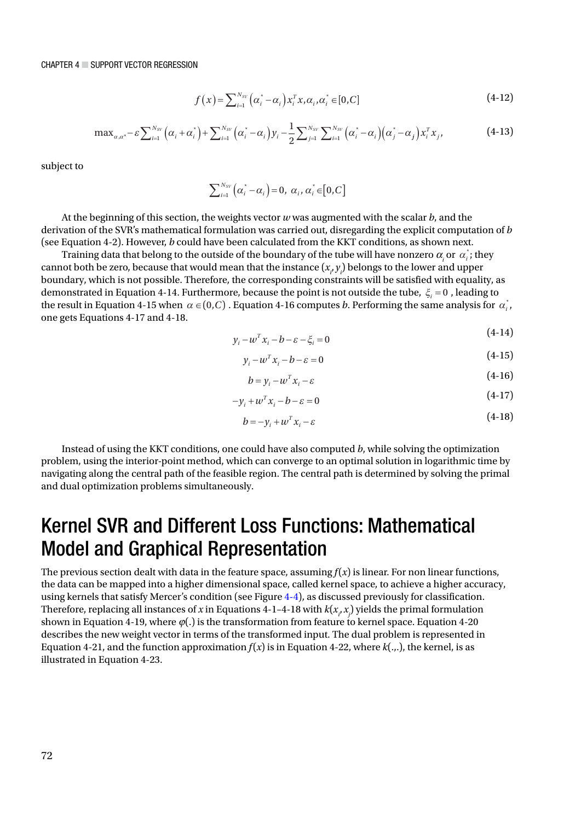$$
f(x) = \sum_{i=1}^{N_{SV}} (\alpha_i^* - \alpha_i) x_i^T x_i, \alpha_i, \alpha_i^* \in [0, C]
$$
\n
$$
(4-12)
$$

$$
\max_{\alpha,\alpha^*} - \varepsilon \sum_{i=1}^{N_{SV}} (\alpha_i + \alpha_i^*) + \sum_{i=1}^{N_{SV}} (\alpha_i^* - \alpha_i) y_i - \frac{1}{2} \sum_{j=1}^{N_{SV}} \sum_{i=1}^{N_{SV}} (\alpha_i^* - \alpha_i) (\alpha_j^* - \alpha_j) x_i^T x_j,
$$
(4-13)

subject to

$$
\sum\nolimits_{i=1}^{N_{SV}} \left( \alpha_i^* - \alpha_i \right) = 0, \ \alpha_i, \ \alpha_i^* \in [0, C]
$$

At the beginning of this section, the weights vector  $w$  was augmented with the scalar  $b$ , and the derivation of the SVR's mathematical formulation was carried out, disregarding the explicit computation of *b* (see Equation 4-2). However, *b* could have been calculated from the KKT conditions, as shown next.

Training data that belong to the outside of the boundary of the tube will have nonzero  $\alpha_i$  or  $\alpha_i^*$ ; they cannot both be zero, because that would mean that the instance  $(x_i, y_j)$  belongs to the lower and upper boundary, which is not possible. Therefore, the corresponding constraints will be satisfied with equality, as demonstrated in Equation 4-14. Furthermore, because the point is not outside the tube,  $\xi_i = 0$ , leading to the result in Equation 4-15 when  $\alpha \in (0, C)$  . Equation 4-16 computes *b*. Performing the same analysis for  $\alpha_i^*$ , one gets Equations 4-17 and 4-18.

$$
y_i - w^T x_i - b - \varepsilon - \xi_i = 0 \tag{4-14}
$$

$$
y_i - w^T x_i - b - \varepsilon = 0 \tag{4-15}
$$

$$
b = y_i - w^T x_i - \varepsilon \tag{4-16}
$$

$$
-y_i + w^T x_i - b - \varepsilon = 0 \tag{4-17}
$$

$$
b = -y_i + w^T x_i - \varepsilon \tag{4-18}
$$

Instead of using the KKT conditions, one could have also computed *b*, while solving the optimization problem, using the interior-point method, which can converge to an optimal solution in logarithmic time by navigating along the central path of the feasible region. The central path is determined by solving the primal and dual optimization problems simultaneously.

### Kernel SVR and Different Loss Functions: Mathematical Model and Graphical Representation

The previous section dealt with data in the feature space, assuming  $f(x)$  is linear. For non linear functions, the data can be mapped into a higher dimensional space, called kernel space, to achieve a higher accuracy, using kernels that satisfy Mercer's condition (see Figure [4-4\)](#page-6-0), as discussed previously for classification. Therefore, replacing all instances of *x* in Equations 4-1-4-18 with  $k(x_i, x_j)$  yields the primal formulation shown in Equation 4-19, where  $\varphi(.)$  is the transformation from feature to kernel space. Equation 4-20 describes the new weight vector in terms of the transformed input. The dual problem is represented in Equation 4-21, and the function approximation  $f(x)$  is in Equation 4-22, where  $k(.,.)$ , the kernel, is as illustrated in Equation 4-23.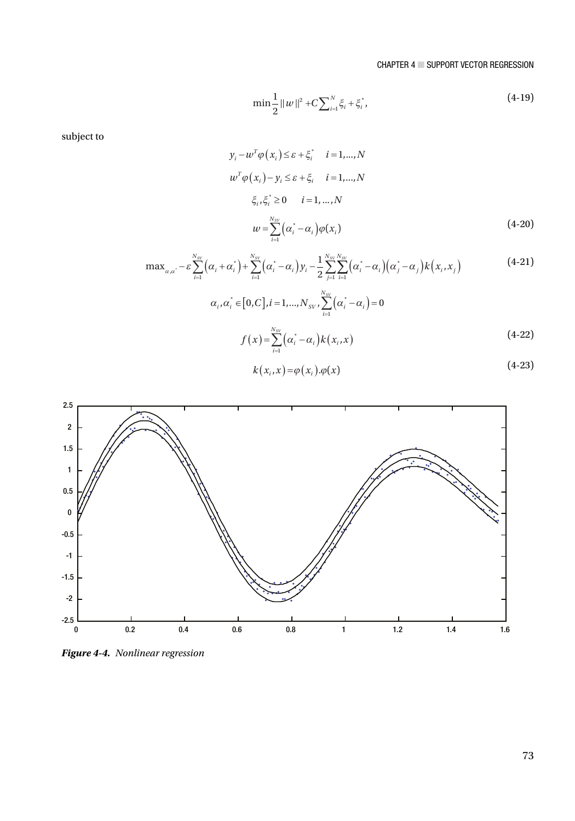Chapter 4 ■ Support Vector Regression

$$
\min \frac{1}{2} \|w\|^2 + C \sum_{i=1}^N \xi_i + \xi_i^*,\tag{4-19}
$$

subject to

$$
y_i - w^T \varphi(x_i) \leq \varepsilon + \xi_i^* \quad i = 1,...,N
$$
  
\n
$$
w^T \varphi(x_i) - y_i \leq \varepsilon + \xi_i \quad i = 1,...,N
$$
  
\n
$$
\xi_i, \xi_i^* \geq 0 \quad i = 1,...,N
$$
  
\n
$$
w = \sum_{i=1}^{N_{SV}} (\alpha_i^* - \alpha_i) \varphi(x_i)
$$
\n(4-20)

$$
\max_{\alpha,\alpha^*} - \varepsilon \sum_{i=1}^{N_{SV}} (\alpha_i + \alpha_i^*) + \sum_{i=1}^{N_{SV}} (\alpha_i^* - \alpha_i) y_i - \frac{1}{2} \sum_{j=1}^{N_{SV}} \sum_{i=1}^{N_{SV}} (\alpha_i^* - \alpha_i) (\alpha_j^* - \alpha_j) k(x_i, x_j)
$$
(4-21)  

$$
\alpha_i, \alpha_i^* \in [0, C], i = 1, ..., N_{SV}, \sum_{i=1}^{N_{SV}} (\alpha_i^* - \alpha_i) = 0
$$

$$
f(x) = \sum_{i=1}^{N_{SV}} (\alpha_i^* - \alpha_i) k(x_i, x)
$$
 (4-22)

$$
k(x_i, x) = \varphi(x_i) . \varphi(x) \tag{4-23}
$$

<span id="page-6-0"></span>

*Figure 4-4. Nonlinear regression*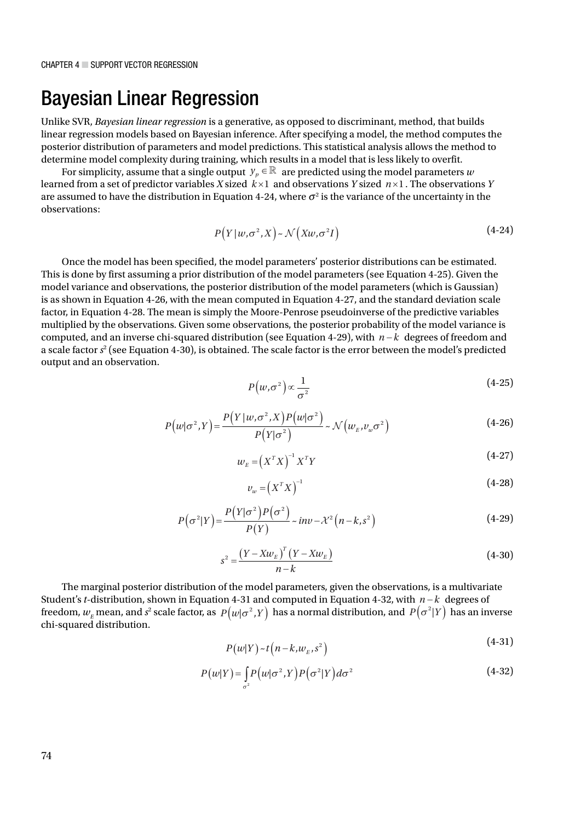### Bayesian Linear Regression

Unlike SVR, *Bayesian linear regression* is a generative, as opposed to discriminant, method, that builds linear regression models based on Bayesian inference. After specifying a model, the method computes the posterior distribution of parameters and model predictions. This statistical analysis allows the method to determine model complexity during training, which results in a model that is less likely to overfit.

For simplicity, assume that a single output  $y_p \in \mathbb{R}$  are predicted using the model parameters *w* learned from a set of predictor variables *X* sized  $k \times 1$  and observations *Y* sized  $n \times 1$ . The observations *Y* are assumed to have the distribution in Equation 4-24, where  $\sigma^2$  is the variance of the uncertainty in the observations:

$$
P(Y|w, \sigma^2, X) \sim \mathcal{N}(Xw, \sigma^2 I)
$$
\n(4-24)

Once the model has been specified, the model parameters' posterior distributions can be estimated. This is done by first assuming a prior distribution of the model parameters (see Equation 4-25). Given the model variance and observations, the posterior distribution of the model parameters (which is Gaussian) is as shown in Equation 4-26, with the mean computed in Equation 4-27, and the standard deviation scale factor, in Equation 4-28. The mean is simply the Moore-Penrose pseudoinverse of the predictive variables multiplied by the observations. Given some observations, the posterior probability of the model variance is computed, and an inverse chi-squared distribution (see Equation 4-29), with  $n-k$  degrees of freedom and a scale factor  $s^2$  (see Equation 4-30), is obtained. The scale factor is the error between the model's predicted output and an observation.

$$
P(w, \sigma^2) \propto \frac{1}{\sigma^2} \tag{4-25}
$$

$$
P(w|\sigma^2, Y) = \frac{P(Y|w, \sigma^2, X)P(w|\sigma^2)}{P(Y|\sigma^2)} \sim \mathcal{N}(w_E, v_w \sigma^2)
$$
\n(4-26)

$$
w_{E} = \left(X^{T}X\right)^{-1}X^{T}Y\tag{4-27}
$$

$$
v_w = \left(X^T X\right)^{-1} \tag{4-28}
$$

$$
P(\sigma^2|Y) = \frac{P(Y|\sigma^2)P(\sigma^2)}{P(Y)} \sim inv - \mathcal{X}^2(n-k,s^2)
$$
\n(4-29)

$$
s^{2} = \frac{(Y - Xw_{E})^{T} (Y - Xw_{E})}{n - k}
$$
\n(4-30)

The marginal posterior distribution of the model parameters, given the observations, is a multivariate Student's *t*-distribution, shown in Equation 4-31 and computed in Equation 4-32, with  $n-k$  degrees of freedom,  $w_{_E}$  mean, and  $s^2$  scale factor, as  $\ p\big(w|\sigma^2,Y\big)$  has a normal distribution, and  $\ P\big(\sigma^2|Y\big)$  has an inverse chi-squared distribution.

$$
P(w|Y) \sim t(n-k, w_E, s^2) \tag{4-31}
$$

$$
P(w|Y) = \int_{\sigma^2} P(w|\sigma^2, Y) P(\sigma^2|Y) d\sigma^2
$$
 (4-32)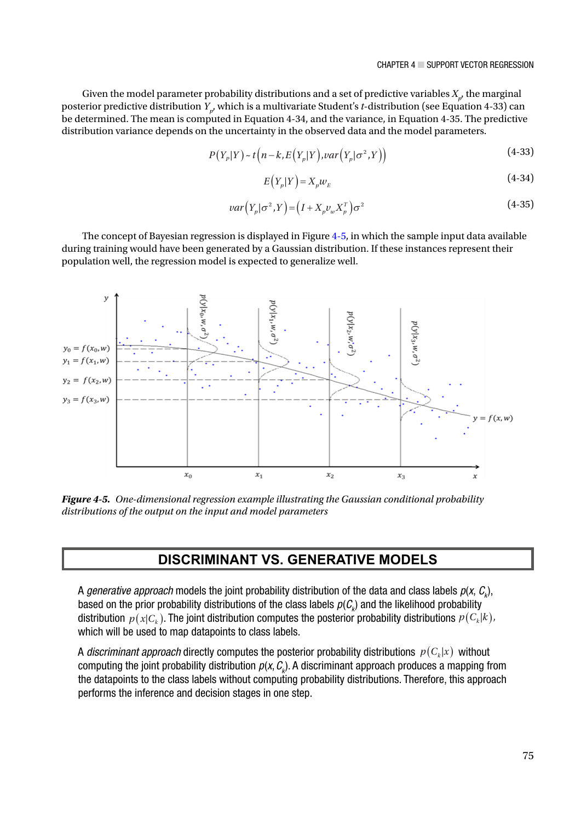Given the model parameter probability distributions and a set of predictive variables  $X_{p'}$  the marginal posterior predictive distribution *Yp* , which is a multivariate Student's *t*-distribution (see Equation 4-33) can be determined. The mean is computed in Equation 4-34, and the variance, in Equation 4-35. The predictive distribution variance depends on the uncertainty in the observed data and the model parameters.

$$
P(Y_p|Y) \sim t\left(n-k, E(Y_p|Y), var(Y_p|\sigma^2, Y)\right)
$$
\n
$$
\tag{4-33}
$$

$$
E(Y_p|Y) = X_p w_E \tag{4-34}
$$

$$
var(Y_p | \sigma^2, Y) = (I + X_p v_w X_p^T) \sigma^2 \tag{4-35}
$$

The concept of Bayesian regression is displayed in Figure [4-5](#page-8-0), in which the sample input data available during training would have been generated by a Gaussian distribution. If these instances represent their population well, the regression model is expected to generalize well.

<span id="page-8-0"></span>

*Figure 4-5. One-dimensional regression example illustrating the Gaussian conditional probability distributions of the output on the input and model parameters*

#### **DISCRIMINANT VS. GENERATIVE MODELS**

A *generative approach* models the joint probability distribution of the data and class labels  $p(\pmb{x},\,\pmb{\mathcal{C}}_{k}),$ based on the prior probability distributions of the class labels  $\rho(\mathcal{C}_\kappa)$  and the likelihood probability distribution  $p(x|C_k)$ . The joint distribution computes the posterior probability distributions  $p(C_k|k)$ , which will be used to map datapoints to class labels.

A *discriminant approach* directly computes the posterior probability distributions  $p(C_k|x)$  without computing the joint probability distribution  $\rho(\mathsf{x},\mathit{C}_\mathsf{y})$ . A discriminant approach produces a mapping from the datapoints to the class labels without computing probability distributions. Therefore, this approach performs the inference and decision stages in one step.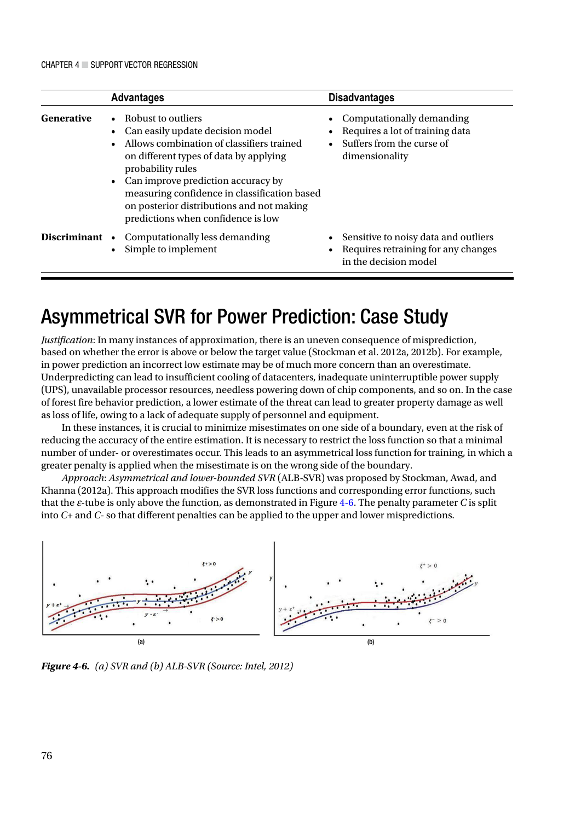|                     | <b>Advantages</b>                                                                                                                                                                                                                                                                                                                                                         | <b>Disadvantages</b>                                                                                                     |  |  |
|---------------------|---------------------------------------------------------------------------------------------------------------------------------------------------------------------------------------------------------------------------------------------------------------------------------------------------------------------------------------------------------------------------|--------------------------------------------------------------------------------------------------------------------------|--|--|
| Generative          | Robust to outliers<br>$\bullet$<br>Can easily update decision model<br>$\bullet$<br>• Allows combination of classifiers trained<br>on different types of data by applying<br>probability rules<br>• Can improve prediction accuracy by<br>measuring confidence in classification based<br>on posterior distributions and not making<br>predictions when confidence is low | Computationally demanding<br>Requires a lot of training data<br>Suffers from the curse of<br>$\bullet$<br>dimensionality |  |  |
| <b>Discriminant</b> | Computationally less demanding<br>Simple to implement<br>$\bullet$                                                                                                                                                                                                                                                                                                        | Sensitive to noisy data and outliers<br>Requires retraining for any changes<br>in the decision model                     |  |  |

# Asymmetrical SVR for Power Prediction: Case Study

*Justification*: In many instances of approximation, there is an uneven consequence of misprediction, based on whether the error is above or below the target value (Stockman et al. 2012a, 2012b). For example, in power prediction an incorrect low estimate may be of much more concern than an overestimate. Underpredicting can lead to insufficient cooling of datacenters, inadequate uninterruptible power supply (UPS), unavailable processor resources, needless powering down of chip components, and so on. In the case of forest fire behavior prediction, a lower estimate of the threat can lead to greater property damage as well as loss of life, owing to a lack of adequate supply of personnel and equipment.

In these instances, it is crucial to minimize misestimates on one side of a boundary, even at the risk of reducing the accuracy of the entire estimation. It is necessary to restrict the loss function so that a minimal number of under- or overestimates occur. This leads to an asymmetrical loss function for training, in which a greater penalty is applied when the misestimate is on the wrong side of the boundary.

*Approach*: *Asymmetrical and lower-bounded SVR* (ALB-SVR) was proposed by Stockman, Awad, and Khanna (2012a). This approach modifies the SVR loss functions and corresponding error functions, such that the *e*-tube is only above the function, as demonstrated in Figure [4-6](#page-9-0). The penalty parameter *C* is split into *C+* and *C-* so that different penalties can be applied to the upper and lower mispredictions.

<span id="page-9-0"></span>

*Figure 4-6. (a) SVR and (b) ALB-SVR (Source: Intel, 2012)*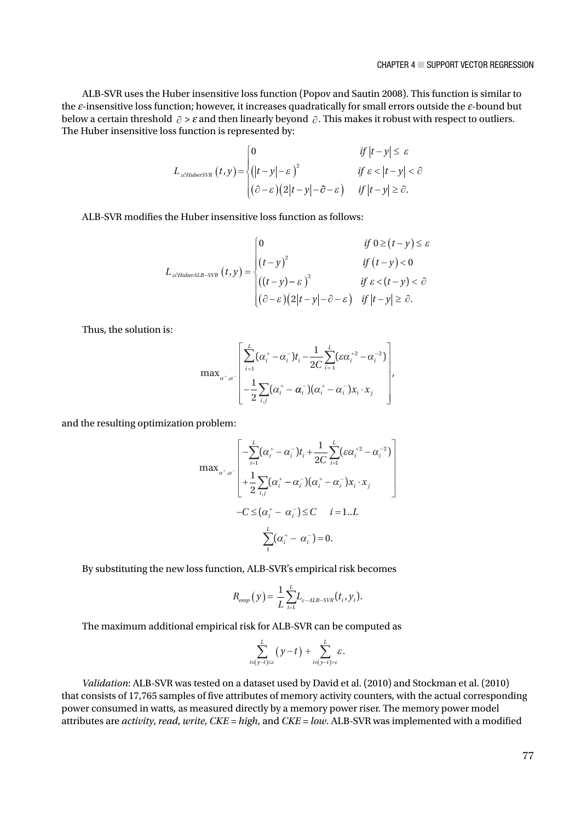ALB-SVR uses the Huber insensitive loss function (Popov and Sautin 2008). This function is similar to the *e*-insensitive loss function; however, it increases quadratically for small errors outside the *e*-bound but below a certain threshold  $\partial > \varepsilon$  and then linearly beyond  $\partial$ . This makes it robust with respect to outliers. The Huber insensitive loss function is represented by:

$$
L_{\text{aCHubersVR}}(t,y) = \begin{cases} 0 & \text{if } |t-y| \leq \varepsilon \\ (|t-y|-\varepsilon)^2 & \text{if } \varepsilon < |t-y| < \partial \\ (\partial-\varepsilon)(2|t-y|-\partial-\varepsilon) & \text{if } |t-y| \geq \partial. \end{cases}
$$

ALB-SVR modifies the Huber insensitive loss function as follows:

$$
L_{\text{coHuberALB-SVR}}(t,y) = \begin{cases} 0 & \text{if } 0 \ge (t-y) \le \varepsilon \\ (t-y)^2 & \text{if } (t-y) < 0 \\ ((t-y)-\varepsilon)^2 & \text{if } \varepsilon < (t-y) < \partial \\ (\partial - \varepsilon)(2|t-y|-\partial - \varepsilon) & \text{if } |t-y| \ge \partial. \end{cases}
$$

Thus, the solution is:

$$
\max_{\alpha^*, \alpha^-} \left[ \frac{\sum_{i=1}^L (\alpha_i^* - \alpha_i^-) t_i - \frac{1}{2C} \sum_{i=1}^L (\varepsilon \alpha_i^{+2} - \alpha_i^{-2})}{-\frac{1}{2} \sum_{i,j} (\alpha_i^* - \alpha_i^-) (\alpha_i^* - \alpha_i^-) x_i \cdot x_j} \right]
$$

,

and the resulting optimization problem:

$$
\max_{\alpha^*, \alpha^-} \left[ -\sum_{i=1}^{L} (\alpha_i^* - \alpha_i^-) t_i + \frac{1}{2C} \sum_{i=1}^{L} (\varepsilon \alpha_i^{+2} - \alpha_i^{-2}) \right] + \frac{1}{2} \sum_{i,j} (\alpha_i^* - \alpha_i^-) (\alpha_i^* - \alpha_i^-) x_i \cdot x_j - C \leq (\alpha_i^* - \alpha_i^-) \leq C \quad i = 1...L
$$

$$
\sum_{i=1}^{L} (\alpha_i^* - \alpha_i^-) = 0.
$$

By substituting the new loss function, ALB-SVR's empirical risk becomes

$$
R_{emp}\big(\boldsymbol{y}\big) \!= \frac{1}{L} \!\sum_{\substack{i=1}}^{L} \!L_{\scriptscriptstyle \mathcal{E}-ALB-SVR}\!\big(t_i, y_i\big).
$$

The maximum additional empirical risk for ALB-SVR can be computed as

*L*

$$
\sum_{i\in (y-t)\leq \varepsilon}^L \bigl( y-t\bigr)+ \sum_{i\in (y-t)> \varepsilon}^L \varepsilon.
$$

*Validation*: ALB-SVR was tested on a dataset used by David et al. (2010) and Stockman et al. (2010) that consists of 17,765 samples of five attributes of memory activity counters, with the actual corresponding power consumed in watts, as measured directly by a memory power riser. The memory power model attributes are *activity*, *read*, *write*, *CKE = high*, and *CKE = low*. ALB-SVR was implemented with a modified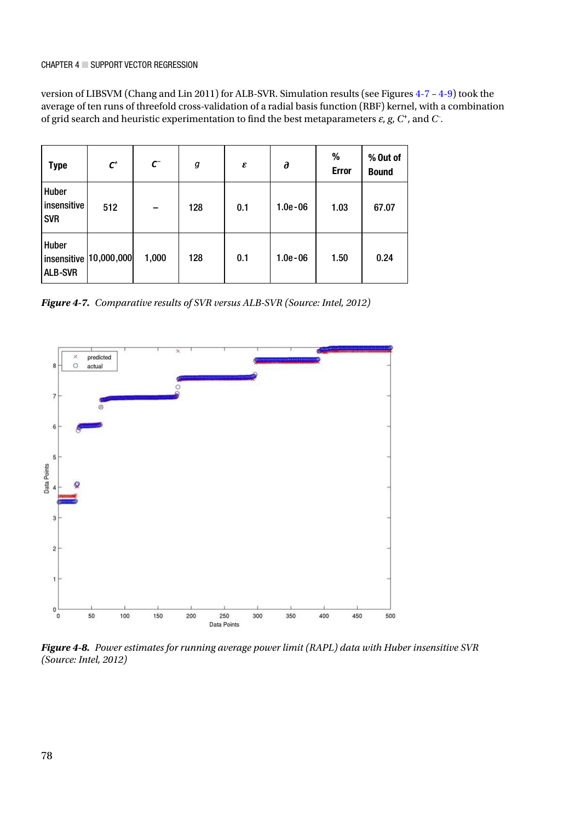#### Chapter 4 ■ Support Vector Regression

version of LIBSVM (Chang and Lin 2011) for ALB-SVR. Simulation results (see Figures [4-7](#page-11-0) – [4-9\)](#page-12-0) took the average of ten runs of threefold cross-validation of a radial basis function (RBF) kernel, with a combination of grid search and heuristic experimentation to find the best metaparameters  $\varepsilon$ ,  $g$ ,  $C^{+}$ , and  $C^{-}$ .

<span id="page-11-0"></span>

| <b>Type</b>                        | $\mathcal{C}^*$        | $\mathsf{C}^-$           | g   | ε   | $\partial$  | %<br><b>Error</b> | % Out of<br><b>Bound</b> |
|------------------------------------|------------------------|--------------------------|-----|-----|-------------|-------------------|--------------------------|
| Huber<br>insensitive<br><b>SVR</b> | 512                    | $\overline{\phantom{0}}$ | 128 | 0.1 | $1.0e - 06$ | 1.03              | 67.07                    |
| Huber<br><b>ALB-SVR</b>            | insensitive 10,000,000 | 1,000                    | 128 | 0.1 | $1.0e - 06$ | 1.50              | 0.24                     |

*Figure 4-7. Comparative results of SVR versus ALB-SVR (Source: Intel, 2012)*



*Figure 4-8. Power estimates for running average power limit (RAPL) data with Huber insensitive SVR (Source: Intel, 2012)*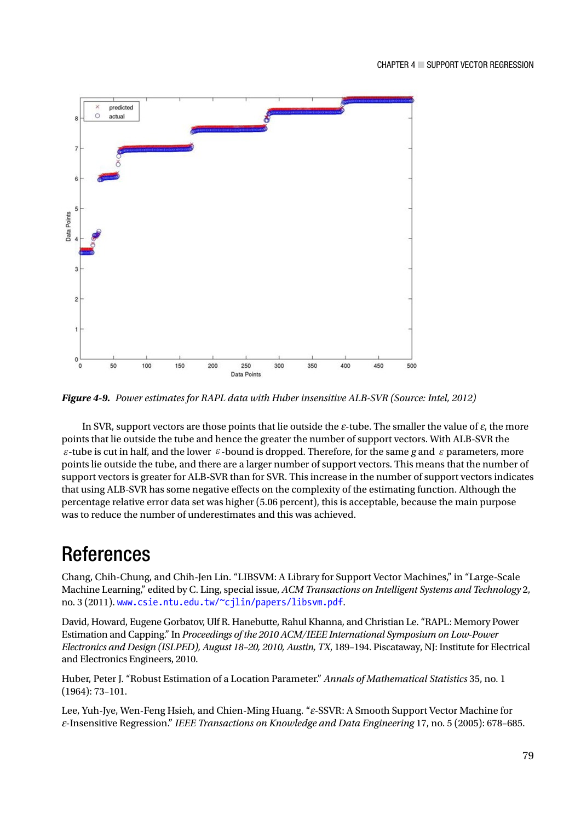<span id="page-12-0"></span>

*Figure 4-9. Power estimates for RAPL data with Huber insensitive ALB-SVR (Source: Intel, 2012)*

In SVR, support vectors are those points that lie outside the *e*-tube. The smaller the value of *e*, the more points that lie outside the tube and hence the greater the number of support vectors. With ALB-SVR the  $\varepsilon$ -tube is cut in half, and the lower  $\varepsilon$ -bound is dropped. Therefore, for the same g and  $\varepsilon$  parameters, more points lie outside the tube, and there are a larger number of support vectors. This means that the number of support vectors is greater for ALB-SVR than for SVR. This increase in the number of support vectors indicates that using ALB-SVR has some negative effects on the complexity of the estimating function. Although the percentage relative error data set was higher (5.06 percent), this is acceptable, because the main purpose was to reduce the number of underestimates and this was achieved.

## References

Chang, Chih-Chung, and Chih-Jen Lin. "LIBSVM: A Library for Support Vector Machines," in "Large-Scale Machine Learning," edited by C. Ling, special issue, *ACM Transactions on Intelligent Systems and Technology* 2, no. 3 (2011). [www.csie.ntu.edu.tw/~cjlin/papers/libsvm.pdf](http://www.csie.ntu.edu.tw/~cjlin/papers/libsvm.pdf).

David, Howard, Eugene Gorbatov, Ulf R. Hanebutte, Rahul Khanna, and Christian Le. "RAPL: Memory Power Estimation and Capping." In *Proceedings of the 2010 ACM/IEEE International Symposium on Low-Power Electronics and Design (ISLPED), August 18–20, 2010, Austin, TX*, 189–194. Piscataway, NJ: Institute for Electrical and Electronics Engineers, 2010.

Huber, Peter J. "Robust Estimation of a Location Parameter." *Annals of Mathematical Statistics* 35, no. 1 (1964): 73–101.

Lee, Yuh-Jye, Wen-Feng Hsieh, and Chien-Ming Huang. "*e*-SSVR: A Smooth Support Vector Machine for *e*-Insensitive Regression." *IEEE Transactions on Knowledge and Data Engineering* 17, no. 5 (2005): 678–685.